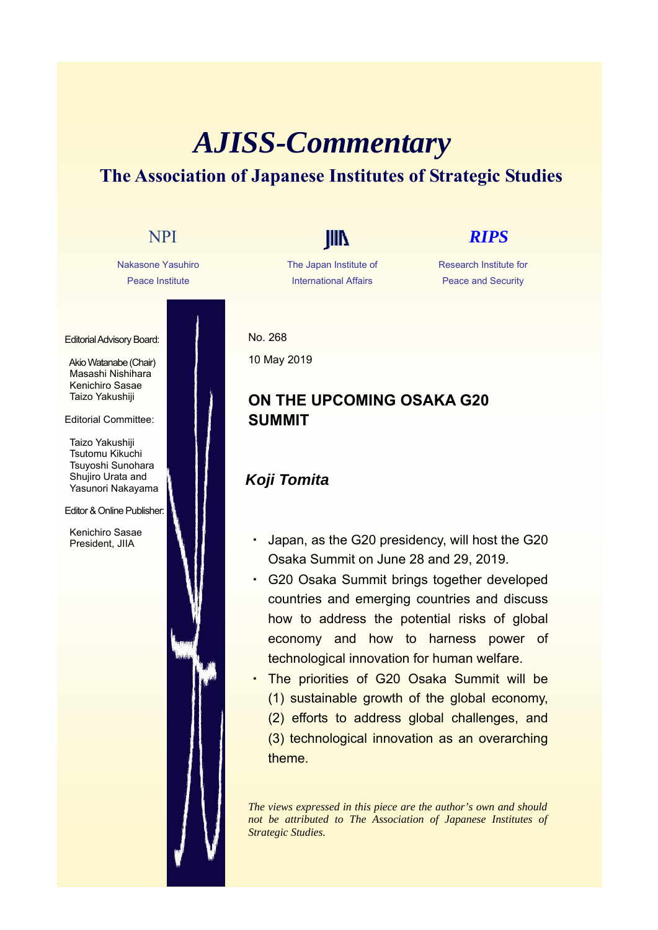## *AJISS-Commentary* **The Association of Japanese Institutes of Strategic Studies**

# Nakasone Yasuhiro Peace Institute Editorial Advisory Board: Akio Watanabe (Chair) Masashi Nishihara Kenichiro Sasae Taizo Yakushiji Editorial Committee: Taizo Yakushiji Tsutomu Kikuchi Tsuyoshi Sunohara Shujiro Urata and Yasunori Nakayama Editor & Online Publisher: Kenichiro Sasae President, JIIA NPI **IIII** *RIPS*

The Japan Institute of International Affairs

#### Research Institute for Peace and Security

No. 268 10 May 2019

### **ON THE UPCOMING OSAKA G20 SUMMIT**

#### *Koji Tomita*

- Japan, as the G20 presidency, will host the G20 Osaka Summit on June 28 and 29, 2019.
- ・ G20 Osaka Summit brings together developed countries and emerging countries and discuss how to address the potential risks of global economy and how to harness power of technological innovation for human welfare.
- ・ The priorities of G20 Osaka Summit will be (1) sustainable growth of the global economy,
	- (2) efforts to address global challenges, and (3) technological innovation as an overarching theme.

*The views expressed in this piece are the author's own and should not be attributed to The Association of Japanese Institutes of Strategic Studies.*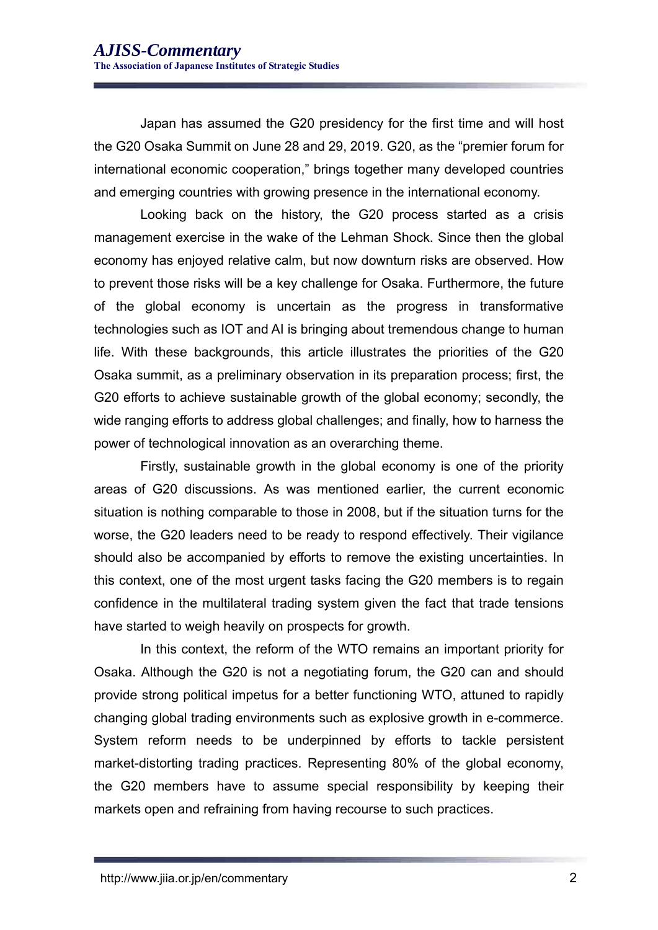Japan has assumed the G20 presidency for the first time and will host the G20 Osaka Summit on June 28 and 29, 2019. G20, as the "premier forum for international economic cooperation," brings together many developed countries and emerging countries with growing presence in the international economy.

Looking back on the history, the G20 process started as a crisis management exercise in the wake of the Lehman Shock. Since then the global economy has enjoyed relative calm, but now downturn risks are observed. How to prevent those risks will be a key challenge for Osaka. Furthermore, the future of the global economy is uncertain as the progress in transformative technologies such as IOT and AI is bringing about tremendous change to human life. With these backgrounds, this article illustrates the priorities of the G20 Osaka summit, as a preliminary observation in its preparation process; first, the G20 efforts to achieve sustainable growth of the global economy; secondly, the wide ranging efforts to address global challenges; and finally, how to harness the power of technological innovation as an overarching theme.

Firstly, sustainable growth in the global economy is one of the priority areas of G20 discussions. As was mentioned earlier, the current economic situation is nothing comparable to those in 2008, but if the situation turns for the worse, the G20 leaders need to be ready to respond effectively. Their vigilance should also be accompanied by efforts to remove the existing uncertainties. In this context, one of the most urgent tasks facing the G20 members is to regain confidence in the multilateral trading system given the fact that trade tensions have started to weigh heavily on prospects for growth.

In this context, the reform of the WTO remains an important priority for Osaka. Although the G20 is not a negotiating forum, the G20 can and should provide strong political impetus for a better functioning WTO, attuned to rapidly changing global trading environments such as explosive growth in e-commerce. System reform needs to be underpinned by efforts to tackle persistent market-distorting trading practices. Representing 80% of the global economy, the G20 members have to assume special responsibility by keeping their markets open and refraining from having recourse to such practices.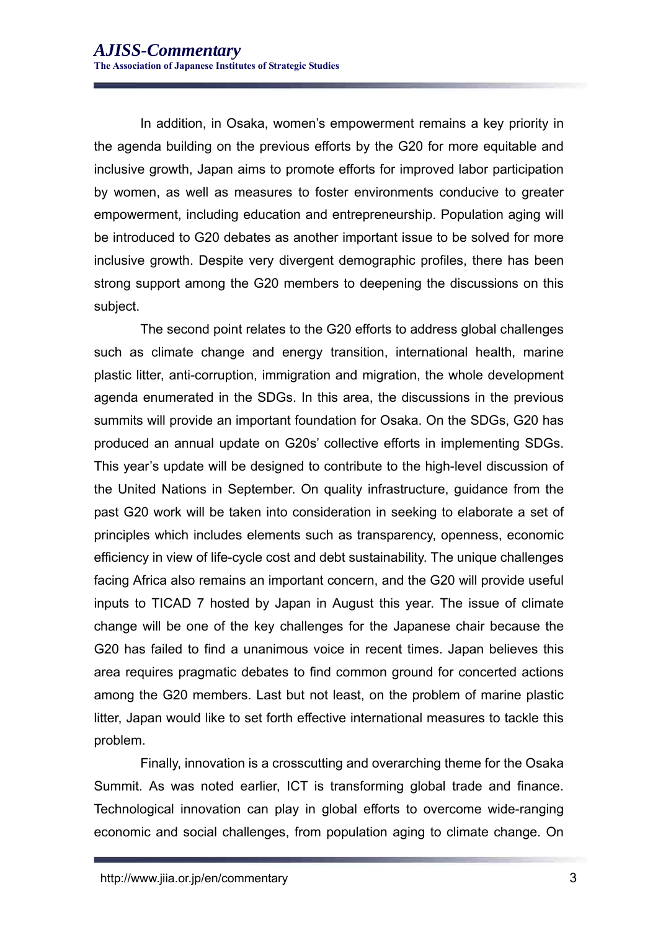In addition, in Osaka, women's empowerment remains a key priority in the agenda building on the previous efforts by the G20 for more equitable and inclusive growth, Japan aims to promote efforts for improved labor participation by women, as well as measures to foster environments conducive to greater empowerment, including education and entrepreneurship. Population aging will be introduced to G20 debates as another important issue to be solved for more inclusive growth. Despite very divergent demographic profiles, there has been strong support among the G20 members to deepening the discussions on this subject.

The second point relates to the G20 efforts to address global challenges such as climate change and energy transition, international health, marine plastic litter, anti-corruption, immigration and migration, the whole development agenda enumerated in the SDGs. In this area, the discussions in the previous summits will provide an important foundation for Osaka. On the SDGs, G20 has produced an annual update on G20s' collective efforts in implementing SDGs. This year's update will be designed to contribute to the high-level discussion of the United Nations in September. On quality infrastructure, guidance from the past G20 work will be taken into consideration in seeking to elaborate a set of principles which includes elements such as transparency, openness, economic efficiency in view of life-cycle cost and debt sustainability. The unique challenges facing Africa also remains an important concern, and the G20 will provide useful inputs to TICAD 7 hosted by Japan in August this year. The issue of climate change will be one of the key challenges for the Japanese chair because the G20 has failed to find a unanimous voice in recent times. Japan believes this area requires pragmatic debates to find common ground for concerted actions among the G20 members. Last but not least, on the problem of marine plastic litter, Japan would like to set forth effective international measures to tackle this problem.

Finally, innovation is a crosscutting and overarching theme for the Osaka Summit. As was noted earlier, ICT is transforming global trade and finance. Technological innovation can play in global efforts to overcome wide-ranging economic and social challenges, from population aging to climate change. On